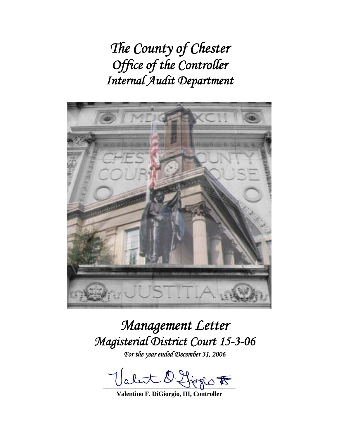*The County of Chester Office of the Controller Internal Audit Department* 



# *Management Letter Magisterial District Court 15-3-06*

*For the year ended December 31, 2006* 

Valet O. Ljegio F

**Valentino F. DiGiorgio, III, Controller**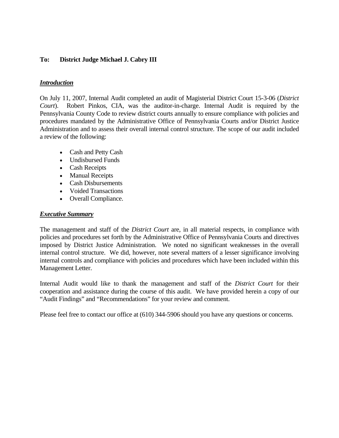# **To: District Judge Michael J. Cabry III**

## *Introduction*

On July 11, 2007, Internal Audit completed an audit of Magisterial District Court 15-3-06 (*District Court*). Robert Pinkos, CIA, was the auditor-in-charge. Internal Audit is required by the Pennsylvania County Code to review district courts annually to ensure compliance with policies and procedures mandated by the Administrative Office of Pennsylvania Courts and/or District Justice Administration and to assess their overall internal control structure. The scope of our audit included a review of the following:

- Cash and Petty Cash
- Undisbursed Funds
- Cash Receipts
- Manual Receipts
- Cash Disbursements
- Voided Transactions
- Overall Compliance.

## *Executive Summary*

The management and staff of the *District Court* are, in all material respects, in compliance with policies and procedures set forth by the Administrative Office of Pennsylvania Courts and directives imposed by District Justice Administration. We noted no significant weaknesses in the overall internal control structure. We did, however, note several matters of a lesser significance involving internal controls and compliance with policies and procedures which have been included within this Management Letter.

Internal Audit would like to thank the management and staff of the *District Court* for their cooperation and assistance during the course of this audit. We have provided herein a copy of our "Audit Findings" and "Recommendations" for your review and comment.

Please feel free to contact our office at (610) 344-5906 should you have any questions or concerns.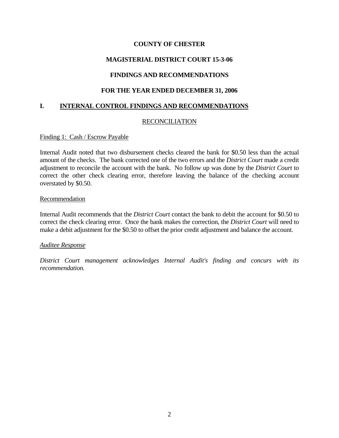# **MAGISTERIAL DISTRICT COURT 15-3-06**

# **FINDINGS AND RECOMMENDATIONS**

# **FOR THE YEAR ENDED DECEMBER 31, 2006**

# **I. INTERNAL CONTROL FINDINGS AND RECOMMENDATIONS**

## RECONCILIATION

## Finding 1: Cash / Escrow Payable

Internal Audit noted that two disbursement checks cleared the bank for \$0.50 less than the actual amount of the checks. The bank corrected one of the two errors and the *District Court* made a credit adjustment to reconcile the account with the bank. No follow up was done by the *District Court* to correct the other check clearing error, therefore leaving the balance of the checking account overstated by \$0.50.

#### Recommendation

Internal Audit recommends that the *District Court* contact the bank to debit the account for \$0.50 to correct the check clearing error. Once the bank makes the correction, the *District Court* will need to make a debit adjustment for the \$0.50 to offset the prior credit adjustment and balance the account.

## *Auditee Response*

*District Court management acknowledges Internal Audit's finding and concurs with its recommendation.*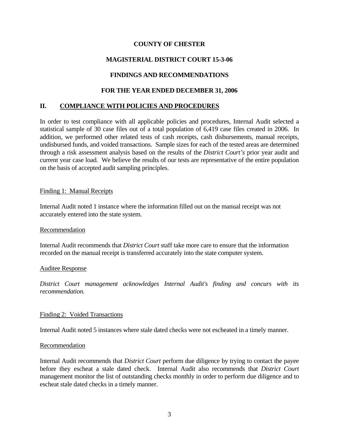# **MAGISTERIAL DISTRICT COURT 15-3-06**

# **FINDINGS AND RECOMMENDATIONS**

## **FOR THE YEAR ENDED DECEMBER 31, 2006**

## **II. COMPLIANCE WITH POLICIES AND PROCEDURES**

In order to test compliance with all applicable policies and procedures, Internal Audit selected a statistical sample of 30 case files out of a total population of 6,419 case files created in 2006. In addition, we performed other related tests of cash receipts, cash disbursements, manual receipts, undisbursed funds, and voided transactions. Sample sizes for each of the tested areas are determined through a risk assessment analysis based on the results of the *District Court's* prior year audit and current year case load. We believe the results of our tests are representative of the entire population on the basis of accepted audit sampling principles.

## Finding 1: Manual Receipts

Internal Audit noted 1 instance where the information filled out on the manual receipt was not accurately entered into the state system.

#### Recommendation

Internal Audit recommends that *District Court* staff take more care to ensure that the information recorded on the manual receipt is transferred accurately into the state computer system.

#### Auditee Response

*District Court management acknowledges Internal Audit's finding and concurs with its recommendation.*

## Finding 2: Voided Transactions

Internal Audit noted 5 instances where stale dated checks were not escheated in a timely manner.

#### Recommendation

Internal Audit recommends that *District Court* perform due diligence by trying to contact the payee before they escheat a stale dated check. Internal Audit also recommends that *District Court*  management monitor the list of outstanding checks monthly in order to perform due diligence and to escheat stale dated checks in a timely manner.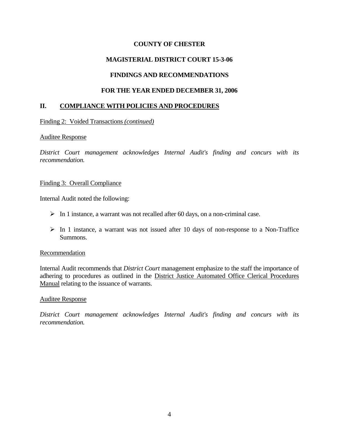# **MAGISTERIAL DISTRICT COURT 15-3-06**

# **FINDINGS AND RECOMMENDATIONS**

# **FOR THE YEAR ENDED DECEMBER 31, 2006**

# **II. COMPLIANCE WITH POLICIES AND PROCEDURES**

## Finding 2: Voided Transactions *(continued)*

## Auditee Response

*District Court management acknowledges Internal Audit's finding and concurs with its recommendation.*

## Finding 3: Overall Compliance

Internal Audit noted the following:

- $\triangleright$  In 1 instance, a warrant was not recalled after 60 days, on a non-criminal case.
- $\triangleright$  In 1 instance, a warrant was not issued after 10 days of non-response to a Non-Traffice Summons.

## Recommendation

Internal Audit recommends that *District Court* management emphasize to the staff the importance of adhering to procedures as outlined in the District Justice Automated Office Clerical Procedures Manual relating to the issuance of warrants.

## Auditee Response

*District Court management acknowledges Internal Audit's finding and concurs with its recommendation.*